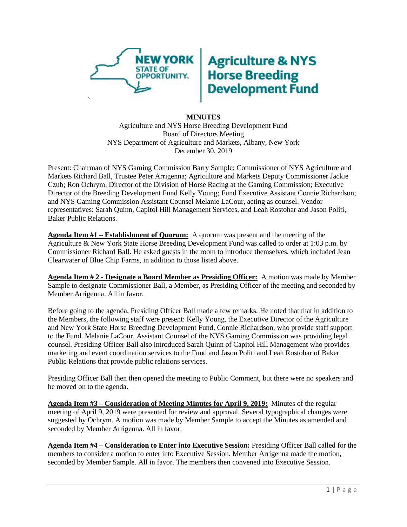

## **Agriculture & NYS<br>Horse Breeding<br>Development Fund**

## **MINUTES**

Agriculture and NYS Horse Breeding Development Fund Board of Directors Meeting NYS Department of Agriculture and Markets, Albany, New York December 30, 2019

Present: Chairman of NYS Gaming Commission Barry Sample; Commissioner of NYS Agriculture and Markets Richard Ball, Trustee Peter Arrigenna; Agriculture and Markets Deputy Commissioner Jackie Czub; Ron Ochrym, Director of the Division of Horse Racing at the Gaming Commission; Executive Director of the Breeding Development Fund Kelly Young; Fund Executive Assistant Connie Richardson; and NYS Gaming Commission Assistant Counsel Melanie LaCour, acting as counsel. Vendor representatives: Sarah Quinn, Capitol Hill Management Services, and Leah Rostohar and Jason Politi, Baker Public Relations.

**Agenda Item #1 – Establishment of Quorum:** A quorum was present and the meeting of the Agriculture & New York State Horse Breeding Development Fund was called to order at 1:03 p.m. by Commissioner Richard Ball. He asked guests in the room to introduce themselves, which included Jean Clearwater of Blue Chip Farms, in addition to those listed above.

**Agenda Item # 2 - Designate a Board Member as Presiding Officer:** A motion was made by Member Sample to designate Commissioner Ball, a Member, as Presiding Officer of the meeting and seconded by Member Arrigenna. All in favor.

Before going to the agenda, Presiding Officer Ball made a few remarks. He noted that that in addition to the Members, the following staff were present: Kelly Young, the Executive Director of the Agriculture and New York State Horse Breeding Development Fund, Connie Richardson, who provide staff support to the Fund. Melanie LaCour, Assistant Counsel of the NYS Gaming Commission was providing legal counsel. Presiding Officer Ball also introduced Sarah Quinn of Capitol Hill Management who provides marketing and event coordination services to the Fund and Jason Politi and Leah Rostohar of Baker Public Relations that provide public relations services.

Presiding Officer Ball then then opened the meeting to Public Comment, but there were no speakers and he moved on to the agenda.

**Agenda Item #3 – Consideration of Meeting Minutes for April 9, 2019:** Minutes of the regular meeting of April 9, 2019 were presented for review and approval. Several typographical changes were suggested by Ochrym. A motion was made by Member Sample to accept the Minutes as amended and seconded by Member Arrigenna. All in favor.

**Agenda Item #4 – Consideration to Enter into Executive Session:** Presiding Officer Ball called for the members to consider a motion to enter into Executive Session. Member Arrigenna made the motion, seconded by Member Sample. All in favor. The members then convened into Executive Session.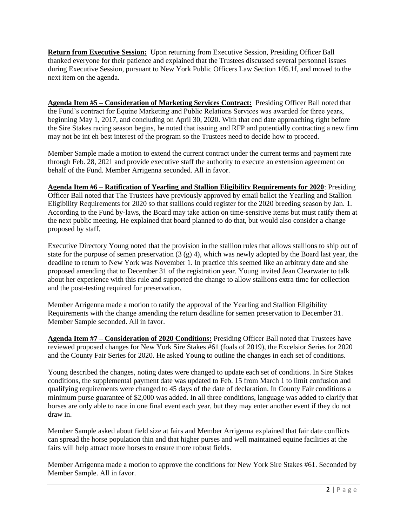**Return from Executive Session:** Upon returning from Executive Session, Presiding Officer Ball thanked everyone for their patience and explained that the Trustees discussed several personnel issues during Executive Session, pursuant to New York Public Officers Law Section 105.1f, and moved to the next item on the agenda.

**Agenda Item #5 – Consideration of Marketing Services Contract:** Presiding Officer Ball noted that the Fund's contract for Equine Marketing and Public Relations Services was awarded for three years, beginning May 1, 2017, and concluding on April 30, 2020. With that end date approaching right before the Sire Stakes racing season begins, he noted that issuing and RFP and potentially contracting a new firm may not be int eh best interest of the program so the Trustees need to decide how to proceed.

Member Sample made a motion to extend the current contract under the current terms and payment rate through Feb. 28, 2021 and provide executive staff the authority to execute an extension agreement on behalf of the Fund. Member Arrigenna seconded. All in favor.

**Agenda Item #6 – Ratification of Yearling and Stallion Eligibility Requirements for 2020**: Presiding Officer Ball noted that The Trustees have previously approved by email ballot the Yearling and Stallion Eligibility Requirements for 2020 so that stallions could register for the 2020 breeding season by Jan. 1. According to the Fund by-laws, the Board may take action on time-sensitive items but must ratify them at the next public meeting. He explained that board planned to do that, but would also consider a change proposed by staff.

Executive Directory Young noted that the provision in the stallion rules that allows stallions to ship out of state for the purpose of semen preservation  $(3 (g) 4)$ , which was newly adopted by the Board last year, the deadline to return to New York was November 1. In practice this seemed like an arbitrary date and she proposed amending that to December 31 of the registration year. Young invited Jean Clearwater to talk about her experience with this rule and supported the change to allow stallions extra time for collection and the post-testing required for preservation.

Member Arrigenna made a motion to ratify the approval of the Yearling and Stallion Eligibility Requirements with the change amending the return deadline for semen preservation to December 31. Member Sample seconded. All in favor.

**Agenda Item #7 – Consideration of 2020 Conditions:** Presiding Officer Ball noted that Trustees have reviewed proposed changes for New York Sire Stakes #61 (foals of 2019), the Excelsior Series for 2020 and the County Fair Series for 2020. He asked Young to outline the changes in each set of conditions.

Young described the changes, noting dates were changed to update each set of conditions. In Sire Stakes conditions, the supplemental payment date was updated to Feb. 15 from March 1 to limit confusion and qualifying requirements were changed to 45 days of the date of declaration. In County Fair conditions a minimum purse guarantee of \$2,000 was added. In all three conditions, language was added to clarify that horses are only able to race in one final event each year, but they may enter another event if they do not draw in.

Member Sample asked about field size at fairs and Member Arrigenna explained that fair date conflicts can spread the horse population thin and that higher purses and well maintained equine facilities at the fairs will help attract more horses to ensure more robust fields.

Member Arrigenna made a motion to approve the conditions for New York Sire Stakes #61. Seconded by Member Sample. All in favor.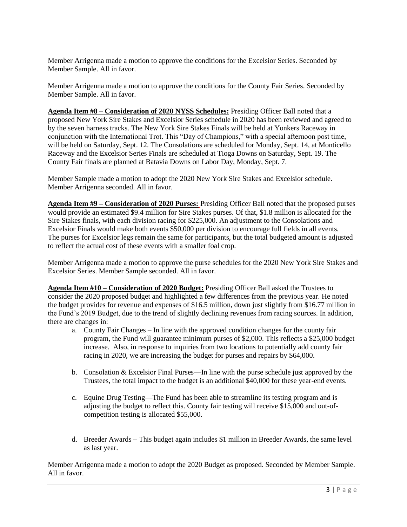Member Arrigenna made a motion to approve the conditions for the Excelsior Series. Seconded by Member Sample. All in favor.

Member Arrigenna made a motion to approve the conditions for the County Fair Series. Seconded by Member Sample. All in favor.

**Agenda Item #8 – Consideration of 2020 NYSS Schedules:** Presiding Officer Ball noted that a proposed New York Sire Stakes and Excelsior Series schedule in 2020 has been reviewed and agreed to by the seven harness tracks. The New York Sire Stakes Finals will be held at Yonkers Raceway in conjunction with the International Trot. This "Day of Champions," with a special afternoon post time, will be held on Saturday, Sept. 12. The Consolations are scheduled for Monday, Sept. 14, at Monticello Raceway and the Excelsior Series Finals are scheduled at Tioga Downs on Saturday, Sept. 19. The County Fair finals are planned at Batavia Downs on Labor Day, Monday, Sept. 7.

Member Sample made a motion to adopt the 2020 New York Sire Stakes and Excelsior schedule. Member Arrigenna seconded. All in favor.

**Agenda Item #9 – Consideration of 2020 Purses:** Presiding Officer Ball noted that the proposed purses would provide an estimated \$9.4 million for Sire Stakes purses. Of that, \$1.8 million is allocated for the Sire Stakes finals, with each division racing for \$225,000. An adjustment to the Consolations and Excelsior Finals would make both events \$50,000 per division to encourage full fields in all events. The purses for Excelsior legs remain the same for participants, but the total budgeted amount is adjusted to reflect the actual cost of these events with a smaller foal crop.

Member Arrigenna made a motion to approve the purse schedules for the 2020 New York Sire Stakes and Excelsior Series. Member Sample seconded. All in favor.

**Agenda Item #10 – Consideration of 2020 Budget:** Presiding Officer Ball asked the Trustees to consider the 2020 proposed budget and highlighted a few differences from the previous year. He noted the budget provides for revenue and expenses of \$16.5 million, down just slightly from \$16.77 million in the Fund's 2019 Budget, due to the trend of slightly declining revenues from racing sources. In addition, there are changes in:

- a. County Fair Changes In line with the approved condition changes for the county fair program, the Fund will guarantee minimum purses of \$2,000. This reflects a \$25,000 budget increase. Also, in response to inquiries from two locations to potentially add county fair racing in 2020, we are increasing the budget for purses and repairs by \$64,000.
- b. Consolation & Excelsior Final Purses—In line with the purse schedule just approved by the Trustees, the total impact to the budget is an additional \$40,000 for these year-end events.
- c. Equine Drug Testing—The Fund has been able to streamline its testing program and is adjusting the budget to reflect this. County fair testing will receive \$15,000 and out-ofcompetition testing is allocated \$55,000.
- d. Breeder Awards This budget again includes \$1 million in Breeder Awards, the same level as last year.

Member Arrigenna made a motion to adopt the 2020 Budget as proposed. Seconded by Member Sample. All in favor.